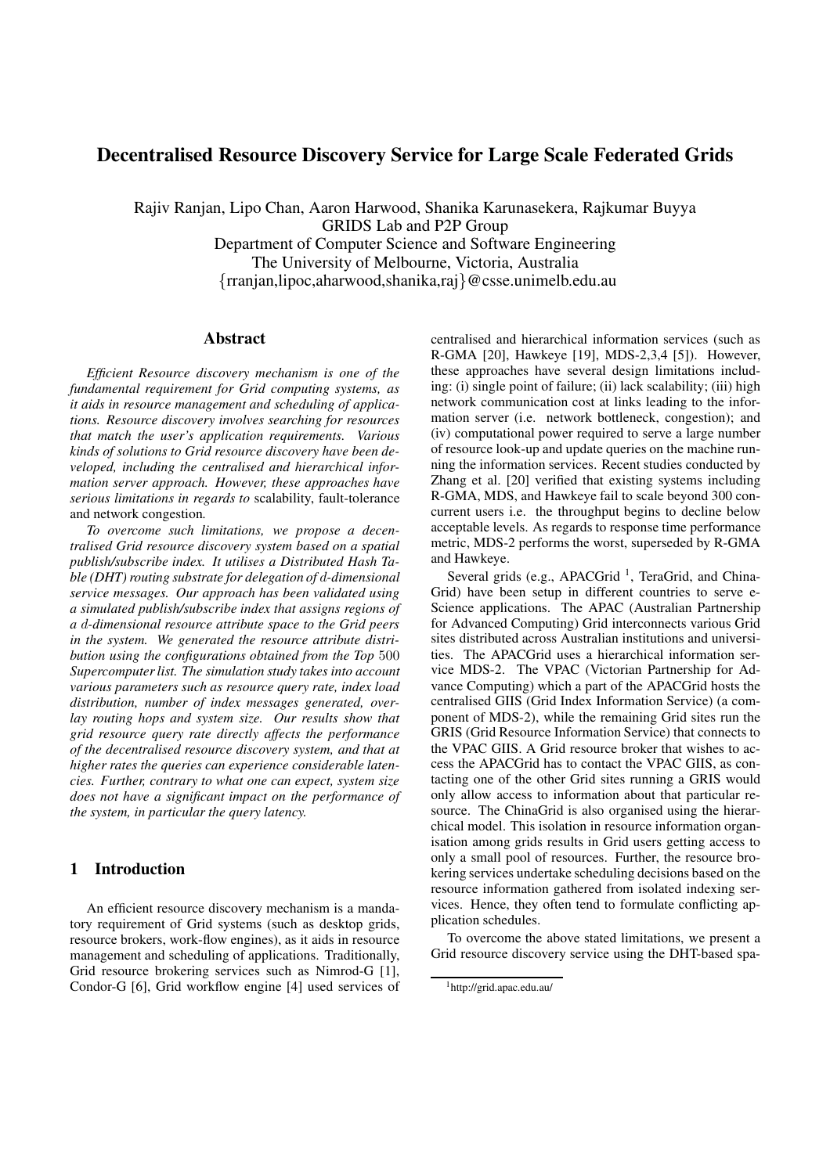# **Decentralised Resource Discovery Service for Large Scale Federated Grids**

Rajiv Ranjan, Lipo Chan, Aaron Harwood, Shanika Karunasekera, Rajkumar Buyya GRIDS Lab and P2P Group Department of Computer Science and Software Engineering The University of Melbourne, Victoria, Australia {rranjan,lipoc,aharwood,shanika,raj}@csse.unimelb.edu.au

### **Abstract**

*Efficient Resource discovery mechanism is one of the fundamental requirement for Grid computing systems, as it aids in resource management and scheduling of applications. Resource discovery involves searching for resources that match the user's application requirements. Various kinds of solutions to Grid resource discovery have been developed, including the centralised and hierarchical information server approach. However, these approaches have serious limitations in regards to* scalability, fault-tolerance and network congestion*.*

*To overcome such limitations, we propose a decentralised Grid resource discovery system based on a spatial publish/subscribe index. It utilises a Distributed Hash Table (DHT) routing substrate for delegation of* d*-dimensional service messages. Our approach has been validated using a simulated publish/subscribe index that assigns regions of a* d*-dimensional resource attribute space to the Grid peers in the system. We generated the resource attribute distribution using the configurations obtained from the Top* 500 *Supercomputer list. The simulation study takes into account various parameters such as resource query rate, index load distribution, number of index messages generated, overlay routing hops and system size. Our results show that grid resource query rate directly affects the performance of the decentralised resource discovery system, and that at higher rates the queries can experience considerable latencies. Further, contrary to what one can expect, system size does not have a significant impact on the performance of the system, in particular the query latency.*

# **1 Introduction**

An efficient resource discovery mechanism is a mandatory requirement of Grid systems (such as desktop grids, resource brokers, work-flow engines), as it aids in resource management and scheduling of applications. Traditionally, Grid resource brokering services such as Nimrod-G [1], Condor-G [6], Grid workflow engine [4] used services of centralised and hierarchical information services (such as R-GMA [20], Hawkeye [19], MDS-2,3,4 [5]). However, these approaches have several design limitations including: (i) single point of failure; (ii) lack scalability; (iii) high network communication cost at links leading to the information server (i.e. network bottleneck, congestion); and (iv) computational power required to serve a large number of resource look-up and update queries on the machine running the information services. Recent studies conducted by Zhang et al. [20] verified that existing systems including R-GMA, MDS, and Hawkeye fail to scale beyond 300 concurrent users i.e. the throughput begins to decline below acceptable levels. As regards to response time performance metric, MDS-2 performs the worst, superseded by R-GMA and Hawkeye.

Several grids (e.g., APACGrid<sup>1</sup>, TeraGrid, and China-Grid) have been setup in different countries to serve e-Science applications. The APAC (Australian Partnership for Advanced Computing) Grid interconnects various Grid sites distributed across Australian institutions and universities. The APACGrid uses a hierarchical information service MDS-2. The VPAC (Victorian Partnership for Advance Computing) which a part of the APACGrid hosts the centralised GIIS (Grid Index Information Service) (a component of MDS-2), while the remaining Grid sites run the GRIS (Grid Resource Information Service) that connects to the VPAC GIIS. A Grid resource broker that wishes to access the APACGrid has to contact the VPAC GIIS, as contacting one of the other Grid sites running a GRIS would only allow access to information about that particular resource. The ChinaGrid is also organised using the hierarchical model. This isolation in resource information organisation among grids results in Grid users getting access to only a small pool of resources. Further, the resource brokering services undertake scheduling decisions based on the resource information gathered from isolated indexing services. Hence, they often tend to formulate conflicting application schedules.

To overcome the above stated limitations, we present a Grid resource discovery service using the DHT-based spa-

<sup>1</sup>http://grid.apac.edu.au/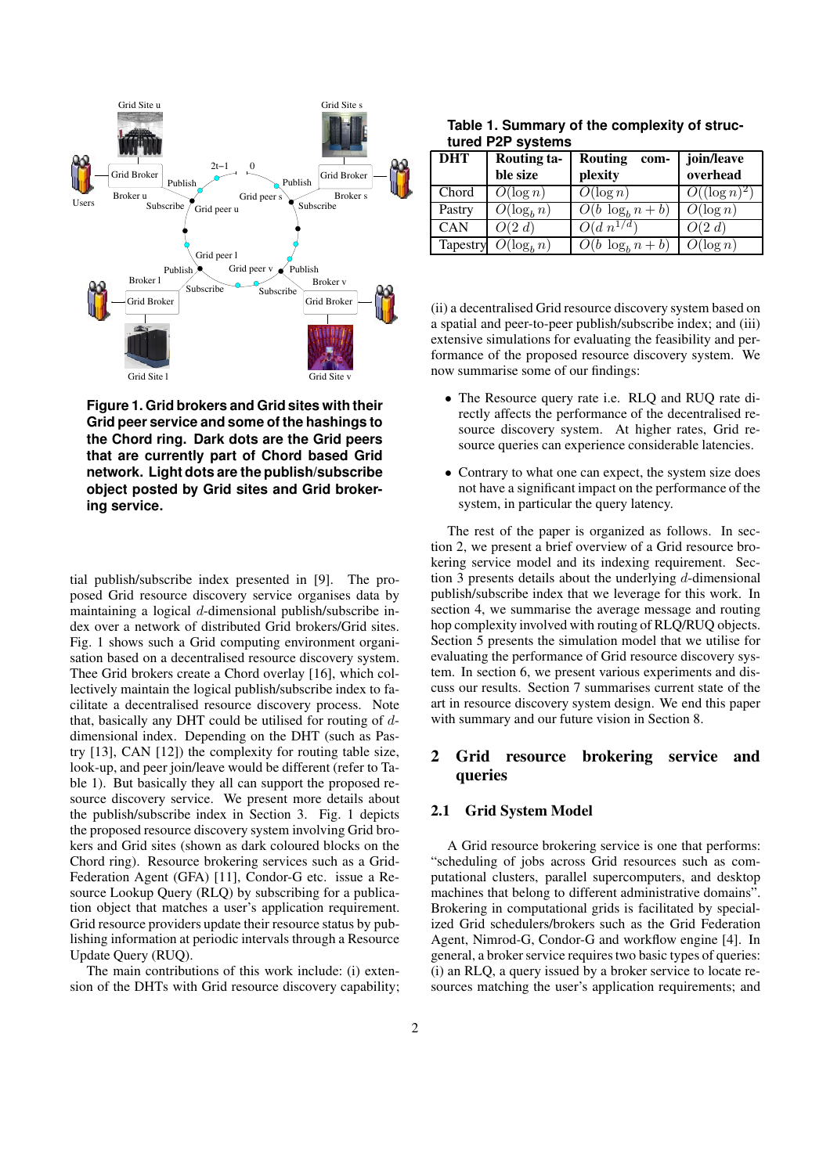

**Figure 1. Grid brokers and Grid sites with their Grid peer service and some of the hashings to the Chord ring. Dark dots are the Grid peers that are currently part of Chord based Grid network. Light dots are the publish/subscribe object posted by Grid sites and Grid brokering service.**

tial publish/subscribe index presented in [9]. The proposed Grid resource discovery service organises data by maintaining a logical d-dimensional publish/subscribe index over a network of distributed Grid brokers/Grid sites. Fig. 1 shows such a Grid computing environment organisation based on a decentralised resource discovery system. Thee Grid brokers create a Chord overlay [16], which collectively maintain the logical publish/subscribe index to facilitate a decentralised resource discovery process. Note that, basically any DHT could be utilised for routing of ddimensional index. Depending on the DHT (such as Pastry [13], CAN [12]) the complexity for routing table size, look-up, and peer join/leave would be different (refer to Table 1). But basically they all can support the proposed resource discovery service. We present more details about the publish/subscribe index in Section 3. Fig. 1 depicts the proposed resource discovery system involving Grid brokers and Grid sites (shown as dark coloured blocks on the Chord ring). Resource brokering services such as a Grid-Federation Agent (GFA) [11], Condor-G etc. issue a Resource Lookup Query (RLQ) by subscribing for a publication object that matches a user's application requirement. Grid resource providers update their resource status by publishing information at periodic intervals through a Resource Update Query (RUQ).

The main contributions of this work include: (i) extension of the DHTs with Grid resource discovery capability;

**Table 1. Summary of the complexity of structured P2P systems**

| DHT        | Routing ta-<br>ble size | Routing<br>com-<br>plexity | join/leave<br>overhead |
|------------|-------------------------|----------------------------|------------------------|
| Chord      | $O(\log n)$             | $O(\log n)$                | $O((\log n)^2)$        |
| Pastry     | $O(\log_b n)$           | $O(b \log_b n + b)$        | $O(\log n)$            |
| <b>CAN</b> | O(2 d)                  | $O(d \overline{n^{1/d}})$  | $O(2\ d)$              |
|            | Tapestry $O(\log_b n)$  | $O(b \log_b n + b)$        | $O(\log n)$            |

(ii) a decentralised Grid resource discovery system based on a spatial and peer-to-peer publish/subscribe index; and (iii) extensive simulations for evaluating the feasibility and performance of the proposed resource discovery system. We now summarise some of our findings:

- The Resource query rate i.e. RLQ and RUQ rate directly affects the performance of the decentralised resource discovery system. At higher rates, Grid resource queries can experience considerable latencies.
- Contrary to what one can expect, the system size does not have a significant impact on the performance of the system, in particular the query latency.

The rest of the paper is organized as follows. In section 2, we present a brief overview of a Grid resource brokering service model and its indexing requirement. Section 3 presents details about the underlying d-dimensional publish/subscribe index that we leverage for this work. In section 4, we summarise the average message and routing hop complexity involved with routing of RLQ/RUQ objects. Section 5 presents the simulation model that we utilise for evaluating the performance of Grid resource discovery system. In section 6, we present various experiments and discuss our results. Section 7 summarises current state of the art in resource discovery system design. We end this paper with summary and our future vision in Section 8.

## **2 Grid resource brokering service and queries**

#### **2.1 Grid System Model**

A Grid resource brokering service is one that performs: "scheduling of jobs across Grid resources such as computational clusters, parallel supercomputers, and desktop machines that belong to different administrative domains". Brokering in computational grids is facilitated by specialized Grid schedulers/brokers such as the Grid Federation Agent, Nimrod-G, Condor-G and workflow engine [4]. In general, a broker service requires two basic types of queries: (i) an RLQ, a query issued by a broker service to locate resources matching the user's application requirements; and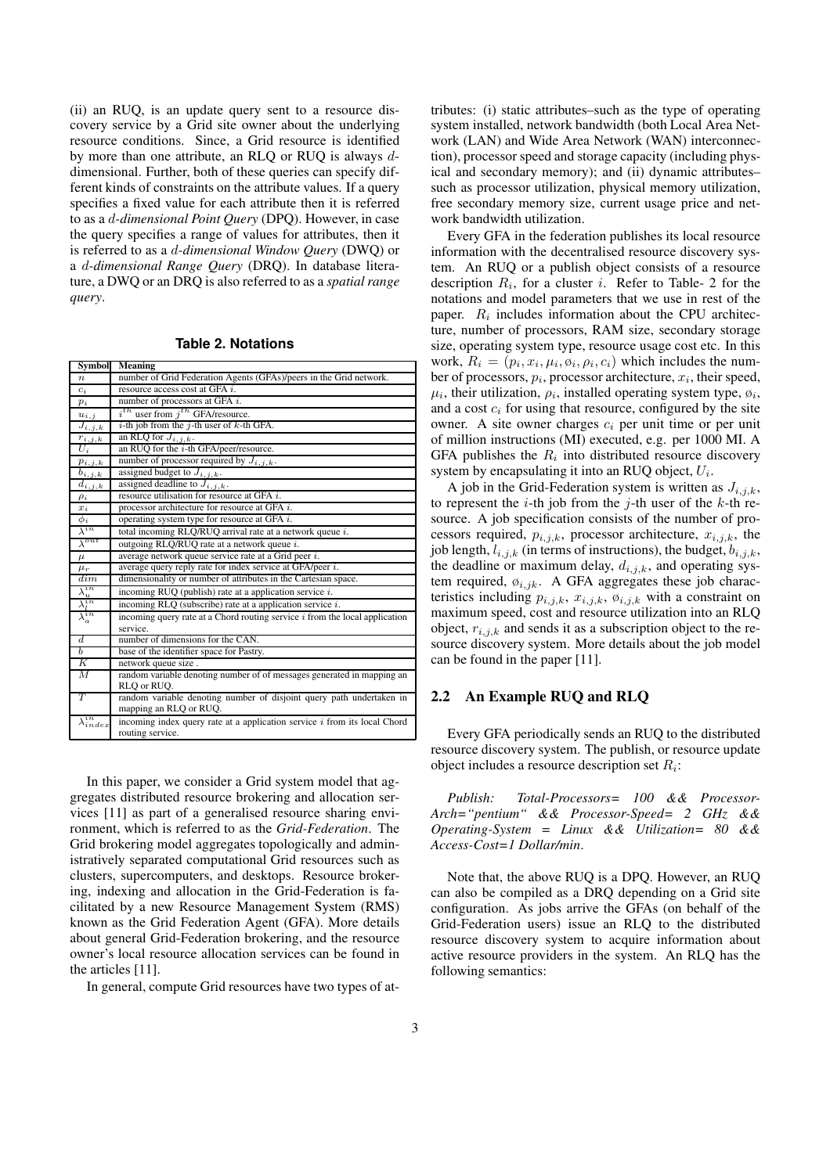(ii) an RUQ, is an update query sent to a resource discovery service by a Grid site owner about the underlying resource conditions. Since, a Grid resource is identified by more than one attribute, an RLQ or RUQ is always ddimensional. Further, both of these queries can specify different kinds of constraints on the attribute values. If a query specifies a fixed value for each attribute then it is referred to as a d*-dimensional Point Query* (DPQ). However, in case the query specifies a range of values for attributes, then it is referred to as a d*-dimensional Window Query* (DWQ) or a d*-dimensional Range Query* (DRQ). In database literature, a DWQ or an DRQ is also referred to as a *spatial range query*.

| Symbol                                                   | <b>Meaning</b>                                                                |  |  |
|----------------------------------------------------------|-------------------------------------------------------------------------------|--|--|
| $\boldsymbol{n}$                                         | number of Grid Federation Agents (GFAs)/peers in the Grid network.            |  |  |
| $c_i$                                                    | resource access cost at GFA $i$ .                                             |  |  |
| $p_i$                                                    | number of processors at GFA i.                                                |  |  |
| $u_{i,j}$                                                | $i^{th}$ user from $j^{th}$ GFA/resource.                                     |  |  |
| $J_{i,j,k}$                                              | <i>i</i> -th job from the <i>j</i> -th user of $k$ -th GFA.                   |  |  |
|                                                          | an RLQ for $J_{i,j,k}$ .                                                      |  |  |
| $\frac{r_{i,j,k}}{U_i}$                                  | an RUQ for the i-th GFA/peer/resource.                                        |  |  |
| $p_{i,j,k}$                                              | number of processor required by $J_{i,j,k}$ .                                 |  |  |
| $b_{i,j,k}$                                              | assigned budget to $J_{i,j,k}$ .                                              |  |  |
| $d_{i,j,k}$                                              | assigned deadline to $J_{i,j,k}$ .                                            |  |  |
| $\rho_i$                                                 | resource utilisation for resource at GFA i.                                   |  |  |
| $\boldsymbol{x}_i$                                       | processor architecture for resource at GFA i.                                 |  |  |
| $\phi_i$                                                 | operating system type for resource at GFA i.                                  |  |  |
| $\lambda^{in}$                                           | total incoming RLO/RUO arrival rate at a network queue i.                     |  |  |
| $\lambda^{out}$                                          | outgoing $RLQ/RUQ$ rate at a network queue $i$ .                              |  |  |
| $\mu$                                                    | average network queue service rate at a Grid peer i.                          |  |  |
| $\mu_r$                                                  | average query reply rate for index service at GFA/peer i.                     |  |  |
| dim                                                      | dimensionality or number of attributes in the Cartesian space.                |  |  |
| $\frac{\lambda^{in}_u}{\lambda^{in}_l} \ \lambda^{in}_a$ | incoming RUQ (publish) rate at a application service $i$ .                    |  |  |
|                                                          | incoming $RLQ$ (subscribe) rate at a application service $i$ .                |  |  |
|                                                          | incoming query rate at a Chord routing service $i$ from the local application |  |  |
|                                                          | service.                                                                      |  |  |
| $\overline{d}$                                           | number of dimensions for the CAN.                                             |  |  |
| $\boldsymbol{b}$                                         | base of the identifier space for Pastry.                                      |  |  |
| Κ                                                        | network queue size.                                                           |  |  |
| $\overline{M}$                                           | random variable denoting number of of messages generated in mapping an        |  |  |
|                                                          | RLQ or RUQ.                                                                   |  |  |
| T                                                        | random variable denoting number of disjoint query path undertaken in          |  |  |
|                                                          | mapping an RLQ or RUQ.                                                        |  |  |
| $\overline{\lambda^{in}_{index}}$                        | incoming index query rate at a application service $i$ from its local Chord   |  |  |
|                                                          | routing service.                                                              |  |  |

In this paper, we consider a Grid system model that aggregates distributed resource brokering and allocation services [11] as part of a generalised resource sharing environment, which is referred to as the *Grid-Federation*. The Grid brokering model aggregates topologically and administratively separated computational Grid resources such as clusters, supercomputers, and desktops. Resource brokering, indexing and allocation in the Grid-Federation is facilitated by a new Resource Management System (RMS) known as the Grid Federation Agent (GFA). More details about general Grid-Federation brokering, and the resource owner's local resource allocation services can be found in the articles [11].

In general, compute Grid resources have two types of at-

tributes: (i) static attributes–such as the type of operating system installed, network bandwidth (both Local Area Network (LAN) and Wide Area Network (WAN) interconnection), processor speed and storage capacity (including physical and secondary memory); and (ii) dynamic attributes– such as processor utilization, physical memory utilization, free secondary memory size, current usage price and network bandwidth utilization.

Every GFA in the federation publishes its local resource information with the decentralised resource discovery system. An RUQ or a publish object consists of a resource description  $R_i$ , for a cluster i. Refer to Table- 2 for the notations and model parameters that we use in rest of the paper.  $R_i$  includes information about the CPU architecture, number of processors, RAM size, secondary storage size, operating system type, resource usage cost etc. In this work,  $R_i = (p_i, x_i, \mu_i, \phi_i, \rho_i, c_i)$  which includes the number of processors,  $p_i$ , processor architecture,  $x_i$ , their speed,  $\mu_i$ , their utilization,  $\rho_i$ , installed operating system type,  $\phi_i$ , and a cost  $c_i$  for using that resource, configured by the site owner. A site owner charges  $c_i$  per unit time or per unit of million instructions (MI) executed, e.g. per 1000 MI. A GFA publishes the  $R_i$  into distributed resource discovery system by encapsulating it into an RUQ object,  $U_i$ .

A job in the Grid-Federation system is written as  $J_{i,j,k}$ , to represent the  $i$ -th job from the  $j$ -th user of the  $k$ -th resource. A job specification consists of the number of processors required,  $p_{i,j,k}$ , processor architecture,  $x_{i,j,k}$ , the job length,  $l_{i,j,k}$  (in terms of instructions), the budget,  $b_{i,j,k}$ , the deadline or maximum delay,  $d_{i,j,k}$ , and operating system required,  $\varphi_{i,j,k}$ . A GFA aggregates these job characteristics including  $p_{i,j,k}$ ,  $x_{i,j,k}$ ,  $\varphi_{i,j,k}$  with a constraint on maximum speed, cost and resource utilization into an RLQ object,  $r_{i,j,k}$  and sends it as a subscription object to the resource discovery system. More details about the job model can be found in the paper [11].

## **2.2 An Example RUQ and RLQ**

Every GFA periodically sends an RUQ to the distributed resource discovery system. The publish, or resource update object includes a resource description set  $R_i$ :

*Publish: Total-Processors= 100 && Processor-Arch="pentium" && Processor-Speed= 2 GHz && Operating-System = Linux && Utilization= 80 && Access-Cost=1 Dollar/min*.

Note that, the above RUQ is a DPQ. However, an RUQ can also be compiled as a DRQ depending on a Grid site configuration. As jobs arrive the GFAs (on behalf of the Grid-Federation users) issue an RLQ to the distributed resource discovery system to acquire information about active resource providers in the system. An RLQ has the following semantics: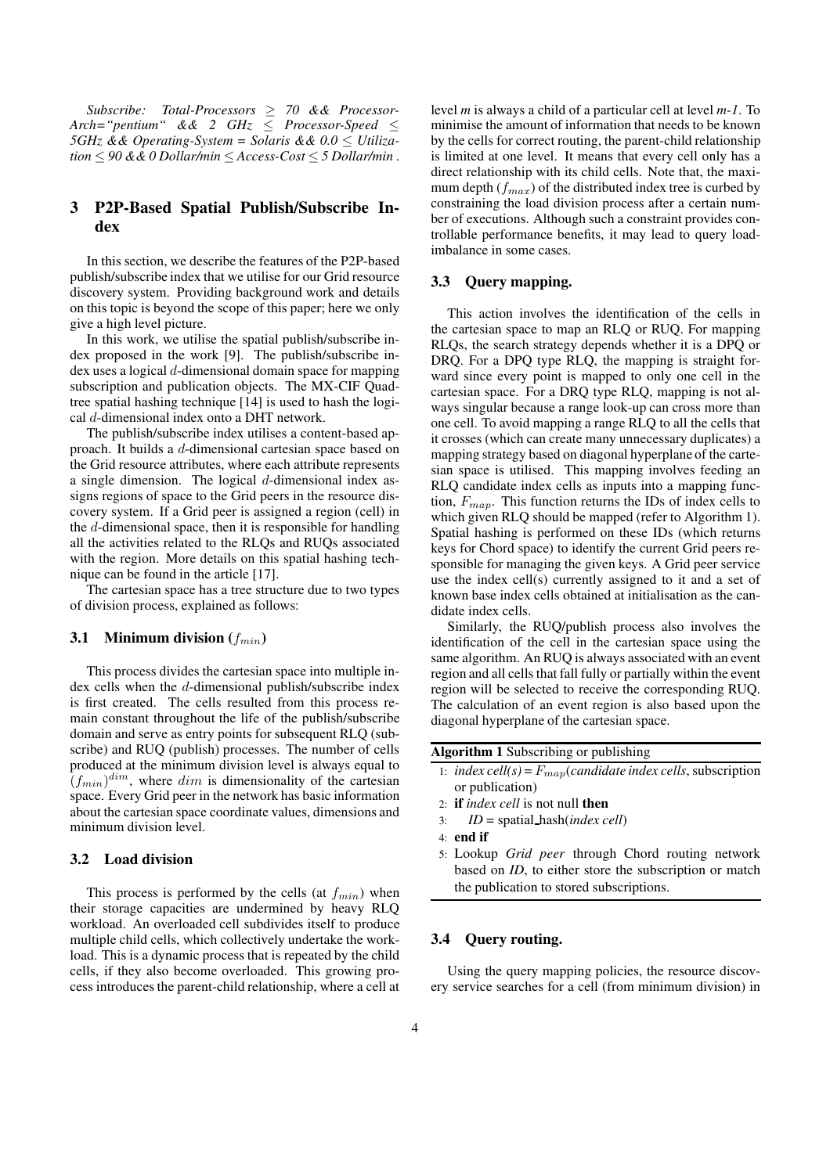*Subscribe: Total-Processors* ≥ *70 && Processor-Arch="pentium" && 2 GHz* ≤ *Processor-Speed* ≤ *5GHz && Operating-System = Solaris && 0.0* ≤ *Utilization* ≤ *90 && 0 Dollar/min* ≤ *Access-Cost* ≤ *5 Dollar/min* .

# **3 P2P-Based Spatial Publish/Subscribe Index**

In this section, we describe the features of the P2P-based publish/subscribe index that we utilise for our Grid resource discovery system. Providing background work and details on this topic is beyond the scope of this paper; here we only give a high level picture.

In this work, we utilise the spatial publish/subscribe index proposed in the work [9]. The publish/subscribe index uses a logical d-dimensional domain space for mapping subscription and publication objects. The MX-CIF Quadtree spatial hashing technique [14] is used to hash the logical d-dimensional index onto a DHT network.

The publish/subscribe index utilises a content-based approach. It builds a d-dimensional cartesian space based on the Grid resource attributes, where each attribute represents a single dimension. The logical d-dimensional index assigns regions of space to the Grid peers in the resource discovery system. If a Grid peer is assigned a region (cell) in the d-dimensional space, then it is responsible for handling all the activities related to the RLQs and RUQs associated with the region. More details on this spatial hashing technique can be found in the article [17].

The cartesian space has a tree structure due to two types of division process, explained as follows:

# **3.1 Minimum division**  $(f_{min})$

This process divides the cartesian space into multiple index cells when the d-dimensional publish/subscribe index is first created. The cells resulted from this process remain constant throughout the life of the publish/subscribe domain and serve as entry points for subsequent RLQ (subscribe) and RUQ (publish) processes. The number of cells produced at the minimum division level is always equal to  $(f_{min})^{dim}$ , where  $dim$  is dimensionality of the cartesian space. Every Grid peer in the network has basic information about the cartesian space coordinate values, dimensions and minimum division level.

## **3.2 Load division**

This process is performed by the cells (at  $f_{min}$ ) when their storage capacities are undermined by heavy RLQ workload. An overloaded cell subdivides itself to produce multiple child cells, which collectively undertake the workload. This is a dynamic process that is repeated by the child cells, if they also become overloaded. This growing process introduces the parent-child relationship, where a cell at level *m* is always a child of a particular cell at level *m-1*. To minimise the amount of information that needs to be known by the cells for correct routing, the parent-child relationship is limited at one level. It means that every cell only has a direct relationship with its child cells. Note that, the maximum depth  $(f_{max})$  of the distributed index tree is curbed by constraining the load division process after a certain number of executions. Although such a constraint provides controllable performance benefits, it may lead to query loadimbalance in some cases.

## **3.3 Query mapping.**

This action involves the identification of the cells in the cartesian space to map an RLQ or RUQ. For mapping RLQs, the search strategy depends whether it is a DPQ or DRQ. For a DPQ type RLQ, the mapping is straight forward since every point is mapped to only one cell in the cartesian space. For a DRQ type RLQ, mapping is not always singular because a range look-up can cross more than one cell. To avoid mapping a range RLQ to all the cells that it crosses (which can create many unnecessary duplicates) a mapping strategy based on diagonal hyperplane of the cartesian space is utilised. This mapping involves feeding an RLQ candidate index cells as inputs into a mapping function,  $F_{map}$ . This function returns the IDs of index cells to which given RLQ should be mapped (refer to Algorithm 1). Spatial hashing is performed on these IDs (which returns keys for Chord space) to identify the current Grid peers responsible for managing the given keys. A Grid peer service use the index cell(s) currently assigned to it and a set of known base index cells obtained at initialisation as the candidate index cells.

Similarly, the RUQ/publish process also involves the identification of the cell in the cartesian space using the same algorithm. An RUQ is always associated with an event region and all cells that fall fully or partially within the event region will be selected to receive the corresponding RUQ. The calculation of an event region is also based upon the diagonal hyperplane of the cartesian space.

**Algorithm 1** Subscribing or publishing

- 1: *index cell(s)* =  $F_{man}(candidate\ index\ cells, subscription)$ or publication)
- 2: **if** *index cell* is not null **then**
- 3: *ID* = spatial hash(*index cell*)
- 4: **end if**
- 5: Lookup *Grid peer* through Chord routing network based on *ID*, to either store the subscription or match the publication to stored subscriptions.

## **3.4 Query routing.**

Using the query mapping policies, the resource discovery service searches for a cell (from minimum division) in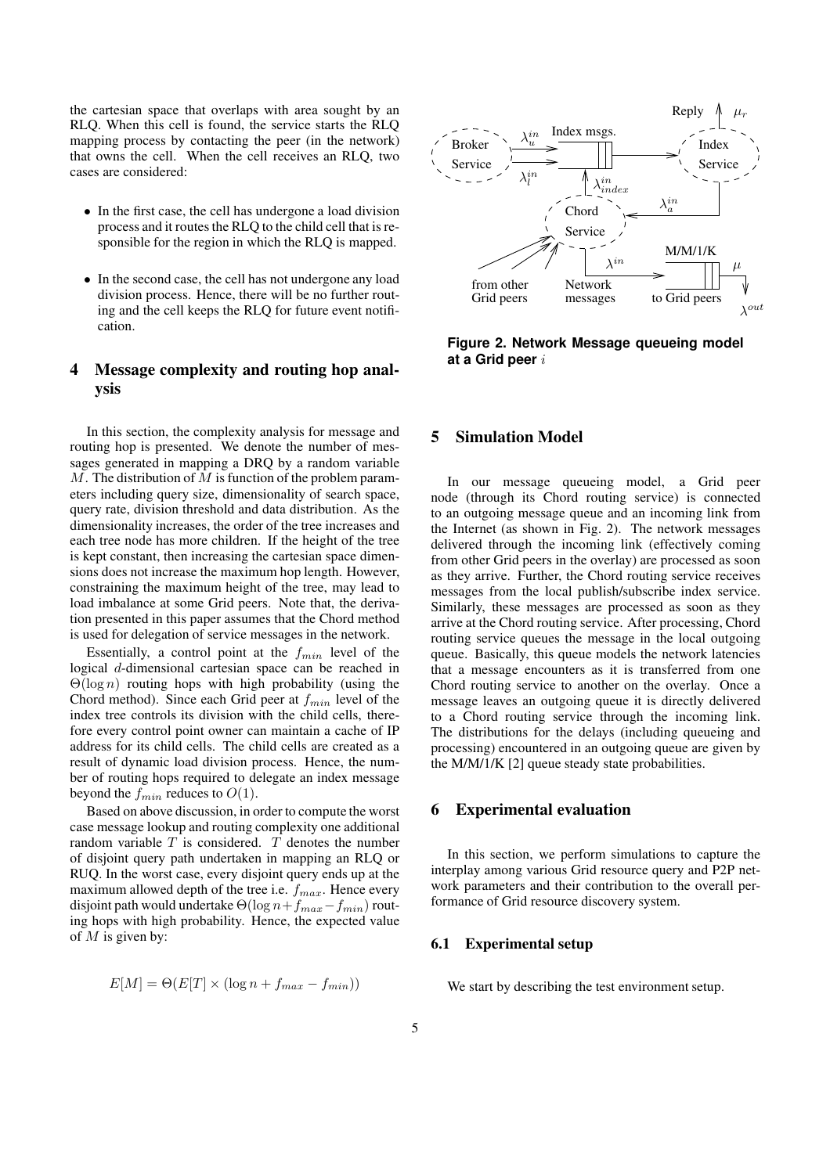the cartesian space that overlaps with area sought by an RLQ. When this cell is found, the service starts the RLQ mapping process by contacting the peer (in the network) that owns the cell. When the cell receives an RLQ, two cases are considered:

- In the first case, the cell has undergone a load division process and it routes the RLQ to the child cell that is responsible for the region in which the RLQ is mapped.
- In the second case, the cell has not undergone any load division process. Hence, there will be no further routing and the cell keeps the RLQ for future event notification.

# **4 Message complexity and routing hop analysis**

In this section, the complexity analysis for message and routing hop is presented. We denote the number of messages generated in mapping a DRQ by a random variable  $M$ . The distribution of  $M$  is function of the problem parameters including query size, dimensionality of search space, query rate, division threshold and data distribution. As the dimensionality increases, the order of the tree increases and each tree node has more children. If the height of the tree is kept constant, then increasing the cartesian space dimensions does not increase the maximum hop length. However, constraining the maximum height of the tree, may lead to load imbalance at some Grid peers. Note that, the derivation presented in this paper assumes that the Chord method is used for delegation of service messages in the network.

Essentially, a control point at the  $f_{min}$  level of the logical d-dimensional cartesian space can be reached in  $\Theta(\log n)$  routing hops with high probability (using the Chord method). Since each Grid peer at  $f_{min}$  level of the index tree controls its division with the child cells, therefore every control point owner can maintain a cache of IP address for its child cells. The child cells are created as a result of dynamic load division process. Hence, the number of routing hops required to delegate an index message beyond the  $f_{min}$  reduces to  $O(1)$ .

Based on above discussion, in order to compute the worst case message lookup and routing complexity one additional random variable  $T$  is considered.  $T$  denotes the number of disjoint query path undertaken in mapping an RLQ or RUQ. In the worst case, every disjoint query ends up at the maximum allowed depth of the tree i.e.  $f_{max}$ . Hence every disjoint path would undertake  $\Theta(\log n+f_{max}-f_{min})$  routing hops with high probability. Hence, the expected value of  $M$  is given by:

$$
E[M] = \Theta(E[T] \times (\log n + f_{max} - f_{min}))
$$



**Figure 2. Network Message queueing model at a Grid peer** i

# **5 Simulation Model**

In our message queueing model, a Grid peer node (through its Chord routing service) is connected to an outgoing message queue and an incoming link from the Internet (as shown in Fig. 2). The network messages delivered through the incoming link (effectively coming from other Grid peers in the overlay) are processed as soon as they arrive. Further, the Chord routing service receives messages from the local publish/subscribe index service. Similarly, these messages are processed as soon as they arrive at the Chord routing service. After processing, Chord routing service queues the message in the local outgoing queue. Basically, this queue models the network latencies that a message encounters as it is transferred from one Chord routing service to another on the overlay. Once a message leaves an outgoing queue it is directly delivered to a Chord routing service through the incoming link. The distributions for the delays (including queueing and processing) encountered in an outgoing queue are given by the M/M/1/K [2] queue steady state probabilities.

### **6 Experimental evaluation**

In this section, we perform simulations to capture the interplay among various Grid resource query and P2P network parameters and their contribution to the overall performance of Grid resource discovery system.

### **6.1 Experimental setup**

We start by describing the test environment setup.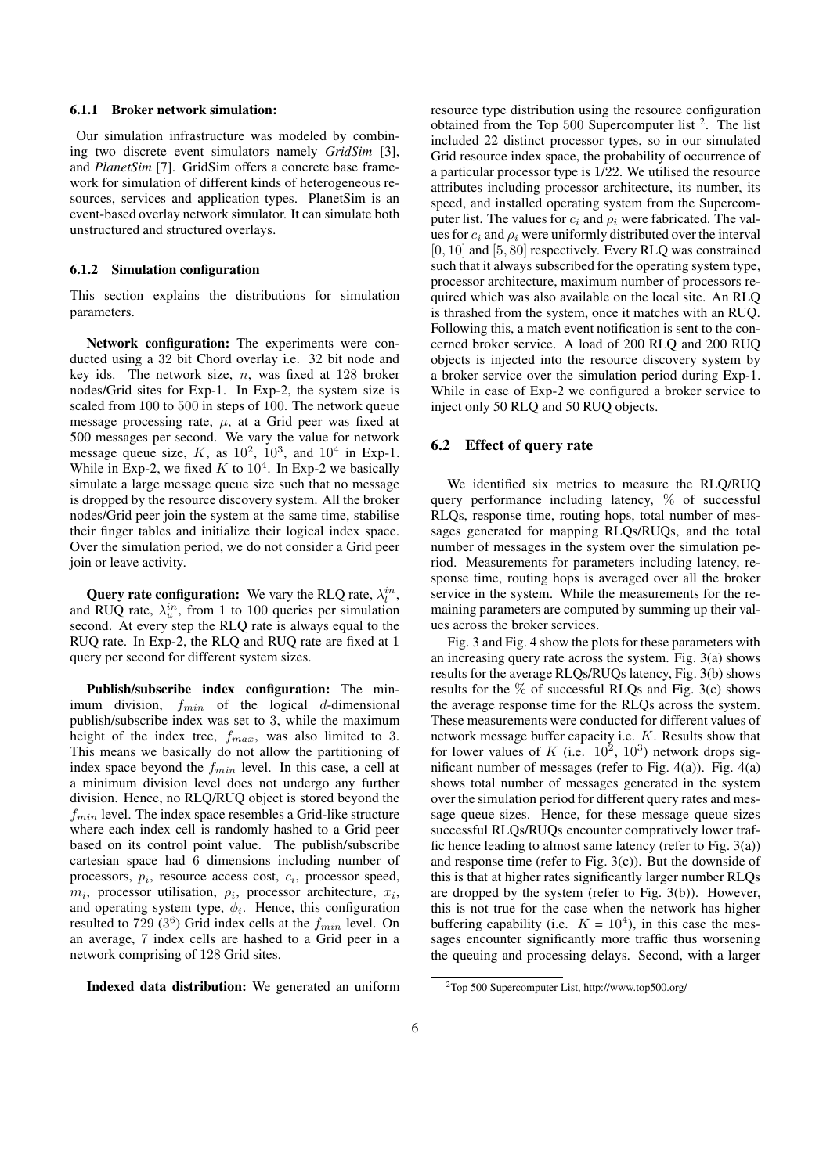#### **6.1.1 Broker network simulation:**

Our simulation infrastructure was modeled by combining two discrete event simulators namely *GridSim* [3], and *PlanetSim* [7]. GridSim offers a concrete base framework for simulation of different kinds of heterogeneous resources, services and application types. PlanetSim is an event-based overlay network simulator. It can simulate both unstructured and structured overlays.

#### **6.1.2 Simulation configuration**

This section explains the distributions for simulation parameters.

**Network configuration:** The experiments were conducted using a 32 bit Chord overlay i.e. 32 bit node and key ids. The network size,  $n$ , was fixed at 128 broker nodes/Grid sites for Exp-1. In Exp-2, the system size is scaled from 100 to 500 in steps of 100. The network queue message processing rate,  $\mu$ , at a Grid peer was fixed at 500 messages per second. We vary the value for network message queue size,  $K$ , as  $10^2$ ,  $10^3$ , and  $10^4$  in Exp-1. While in Exp-2, we fixed  $K$  to  $10^4$ . In Exp-2 we basically simulate a large message queue size such that no message is dropped by the resource discovery system. All the broker nodes/Grid peer join the system at the same time, stabilise their finger tables and initialize their logical index space. Over the simulation period, we do not consider a Grid peer join or leave activity.

**Query rate configuration:** We vary the RLQ rate,  $\lambda_i^{in}$ , and RUQ rate,  $\lambda_u^{in}$ , from 1 to 100 queries per simulation second. At every step the RLQ rate is always equal to the RUQ rate. In Exp-2, the RLQ and RUQ rate are fixed at 1 query per second for different system sizes.

**Publish/subscribe index configuration:** The minimum division,  $f_{min}$  of the logical d-dimensional publish/subscribe index was set to 3, while the maximum height of the index tree,  $f_{max}$ , was also limited to 3. This means we basically do not allow the partitioning of index space beyond the  $f_{min}$  level. In this case, a cell at a minimum division level does not undergo any further division. Hence, no RLQ/RUQ object is stored beyond the  $f_{min}$  level. The index space resembles a Grid-like structure where each index cell is randomly hashed to a Grid peer based on its control point value. The publish/subscribe cartesian space had 6 dimensions including number of processors,  $p_i$ , resource access cost,  $c_i$ , processor speed,  $m_i$ , processor utilisation,  $\rho_i$ , processor architecture,  $x_i$ , and operating system type,  $\phi_i$ . Hence, this configuration resulted to  $729(3^6)$  Grid index cells at the  $f_{min}$  level. On an average, 7 index cells are hashed to a Grid peer in a network comprising of 128 Grid sites.

**Indexed data distribution:** We generated an uniform

resource type distribution using the resource configuration obtained from the Top  $500$  Supercomputer list  $2$ . The list included 22 distinct processor types, so in our simulated Grid resource index space, the probability of occurrence of a particular processor type is 1/22. We utilised the resource attributes including processor architecture, its number, its speed, and installed operating system from the Supercomputer list. The values for  $c_i$  and  $\rho_i$  were fabricated. The values for  $c_i$  and  $\rho_i$  were uniformly distributed over the interval [0, 10] and [5, 80] respectively. Every RLQ was constrained such that it always subscribed for the operating system type, processor architecture, maximum number of processors required which was also available on the local site. An RLQ is thrashed from the system, once it matches with an RUQ. Following this, a match event notification is sent to the concerned broker service. A load of 200 RLQ and 200 RUQ objects is injected into the resource discovery system by a broker service over the simulation period during Exp-1. While in case of Exp-2 we configured a broker service to inject only 50 RLQ and 50 RUQ objects.

#### **6.2 Effect of query rate**

We identified six metrics to measure the RLQ/RUQ query performance including latency, % of successful RLQs, response time, routing hops, total number of messages generated for mapping RLQs/RUQs, and the total number of messages in the system over the simulation period. Measurements for parameters including latency, response time, routing hops is averaged over all the broker service in the system. While the measurements for the remaining parameters are computed by summing up their values across the broker services.

Fig. 3 and Fig. 4 show the plots for these parameters with an increasing query rate across the system. Fig. 3(a) shows results for the average RLQs/RUQs latency, Fig. 3(b) shows results for the  $\%$  of successful RLQs and Fig. 3(c) shows the average response time for the RLQs across the system. These measurements were conducted for different values of network message buffer capacity i.e. K. Results show that for lower values of K (i.e.  $10^2$ ,  $10^3$ ) network drops significant number of messages (refer to Fig.  $4(a)$ ). Fig.  $4(a)$ shows total number of messages generated in the system over the simulation period for different query rates and message queue sizes. Hence, for these message queue sizes successful RLQs/RUQs encounter compratively lower traffic hence leading to almost same latency (refer to Fig. 3(a)) and response time (refer to Fig. 3(c)). But the downside of this is that at higher rates significantly larger number RLQs are dropped by the system (refer to Fig. 3(b)). However, this is not true for the case when the network has higher buffering capability (i.e.  $K = 10<sup>4</sup>$ ), in this case the messages encounter significantly more traffic thus worsening the queuing and processing delays. Second, with a larger

<sup>2</sup>Top 500 Supercomputer List, http://www.top500.org/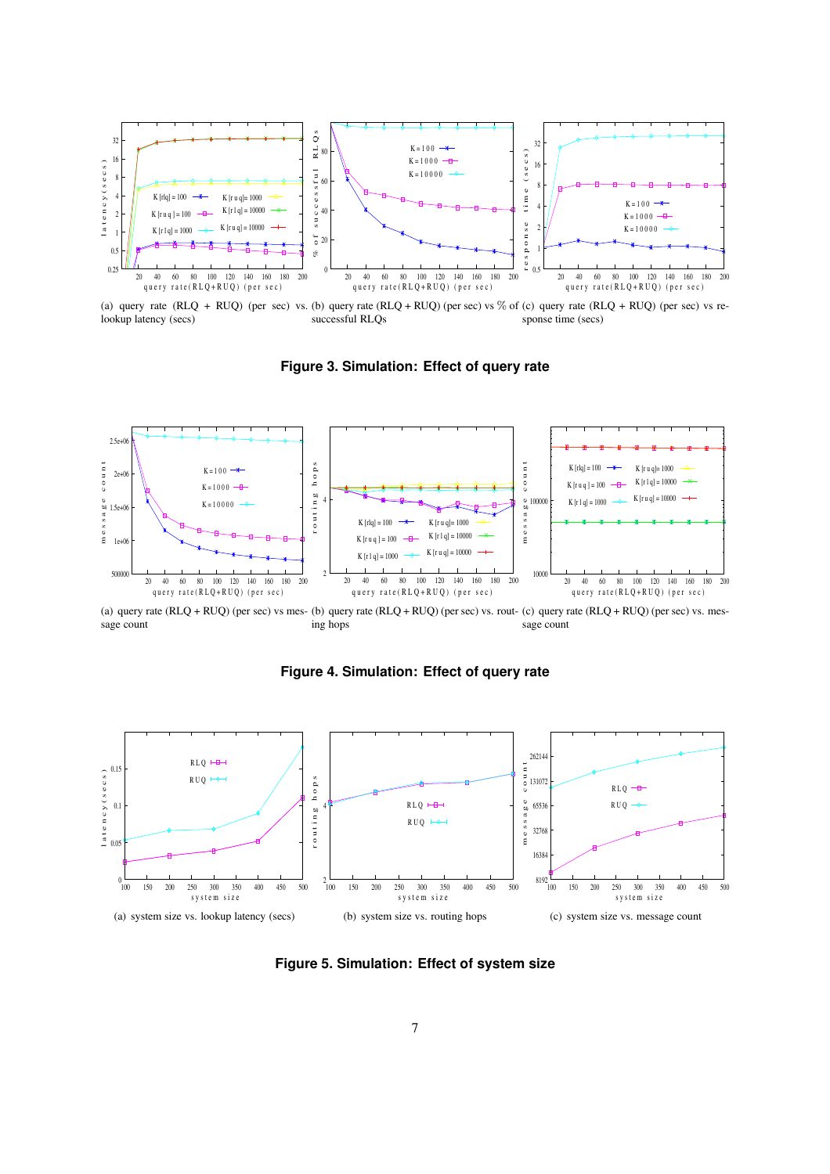

(a) query rate (RLQ + RUQ) (per sec) vs. (b) query rate (RLQ + RUQ) (per sec) vs % of (c) query rate (RLQ + RUQ) (per sec) vs relookup latency (secs) successful RLQs sponse time (secs)

**Figure 3. Simulation: Effect of query rate**



(a) query rate (RLQ + RUQ) (per sec) vs mes-(b) query rate (RLQ + RUQ) (per sec) vs. rout-(c) query rate (RLQ + RUQ) (per sec) vs. message count ing hops sage count

**Figure 4. Simulation: Effect of query rate**



**Figure 5. Simulation: Effect of system size**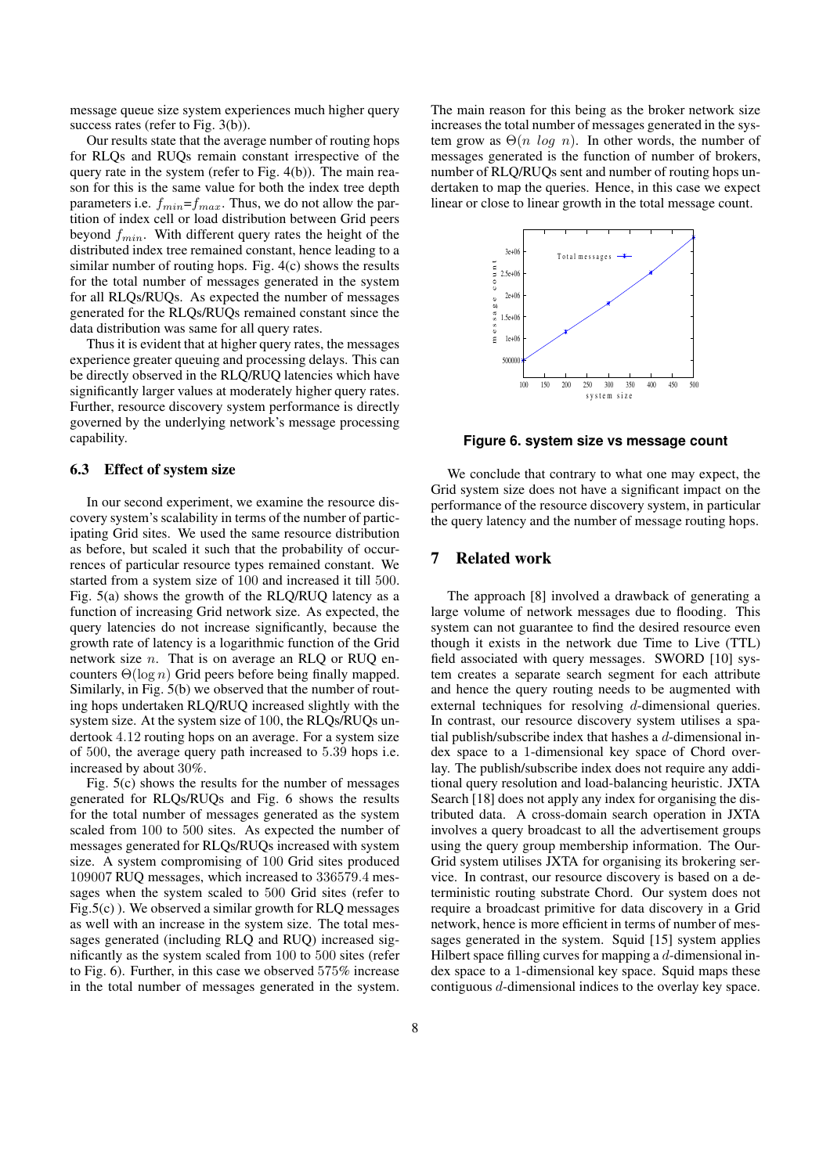message queue size system experiences much higher query success rates (refer to Fig. 3(b)).

Our results state that the average number of routing hops for RLQs and RUQs remain constant irrespective of the query rate in the system (refer to Fig. 4(b)). The main reason for this is the same value for both the index tree depth parameters i.e.  $f_{min}=f_{max}$ . Thus, we do not allow the partition of index cell or load distribution between Grid peers beyond  $f_{min}$ . With different query rates the height of the distributed index tree remained constant, hence leading to a similar number of routing hops. Fig. 4(c) shows the results for the total number of messages generated in the system for all RLQs/RUQs. As expected the number of messages generated for the RLQs/RUQs remained constant since the data distribution was same for all query rates.

Thus it is evident that at higher query rates, the messages experience greater queuing and processing delays. This can be directly observed in the RLQ/RUQ latencies which have significantly larger values at moderately higher query rates. Further, resource discovery system performance is directly governed by the underlying network's message processing capability.

#### **6.3 Effect of system size**

In our second experiment, we examine the resource discovery system's scalability in terms of the number of participating Grid sites. We used the same resource distribution as before, but scaled it such that the probability of occurrences of particular resource types remained constant. We started from a system size of 100 and increased it till 500. Fig. 5(a) shows the growth of the RLQ/RUQ latency as a function of increasing Grid network size. As expected, the query latencies do not increase significantly, because the growth rate of latency is a logarithmic function of the Grid network size n. That is on average an RLQ or RUQ encounters  $\Theta(\log n)$  Grid peers before being finally mapped. Similarly, in Fig. 5(b) we observed that the number of routing hops undertaken RLQ/RUQ increased slightly with the system size. At the system size of 100, the RLQs/RUQs undertook 4.12 routing hops on an average. For a system size of 500, the average query path increased to 5.39 hops i.e. increased by about 30%.

Fig. 5(c) shows the results for the number of messages generated for RLQs/RUQs and Fig. 6 shows the results for the total number of messages generated as the system scaled from 100 to 500 sites. As expected the number of messages generated for RLQs/RUQs increased with system size. A system compromising of 100 Grid sites produced 109007 RUQ messages, which increased to 336579.4 messages when the system scaled to 500 Grid sites (refer to Fig.5(c) ). We observed a similar growth for RLQ messages as well with an increase in the system size. The total messages generated (including RLQ and RUQ) increased significantly as the system scaled from 100 to 500 sites (refer to Fig. 6). Further, in this case we observed 575% increase in the total number of messages generated in the system. The main reason for this being as the broker network size increases the total number of messages generated in the system grow as  $\Theta(n \log n)$ . In other words, the number of messages generated is the function of number of brokers, number of RLQ/RUQs sent and number of routing hops undertaken to map the queries. Hence, in this case we expect linear or close to linear growth in the total message count.



**Figure 6. system size vs message count**

We conclude that contrary to what one may expect, the Grid system size does not have a significant impact on the performance of the resource discovery system, in particular the query latency and the number of message routing hops.

### **7 Related work**

The approach [8] involved a drawback of generating a large volume of network messages due to flooding. This system can not guarantee to find the desired resource even though it exists in the network due Time to Live (TTL) field associated with query messages. SWORD [10] system creates a separate search segment for each attribute and hence the query routing needs to be augmented with external techniques for resolving d-dimensional queries. In contrast, our resource discovery system utilises a spatial publish/subscribe index that hashes a  $d$ -dimensional index space to a 1-dimensional key space of Chord overlay. The publish/subscribe index does not require any additional query resolution and load-balancing heuristic. JXTA Search [18] does not apply any index for organising the distributed data. A cross-domain search operation in JXTA involves a query broadcast to all the advertisement groups using the query group membership information. The Our-Grid system utilises JXTA for organising its brokering service. In contrast, our resource discovery is based on a deterministic routing substrate Chord. Our system does not require a broadcast primitive for data discovery in a Grid network, hence is more efficient in terms of number of messages generated in the system. Squid [15] system applies Hilbert space filling curves for mapping a  $d$ -dimensional index space to a 1-dimensional key space. Squid maps these contiguous d-dimensional indices to the overlay key space.